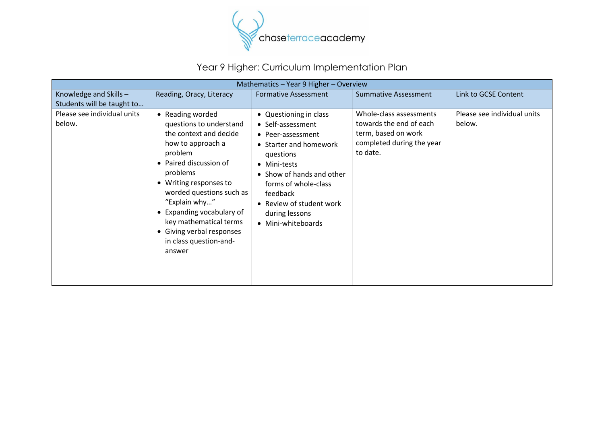

## Year 9 Higher: Curriculum Implementation Plan

| Mathematics - Year 9 Higher - Overview               |                                                                                                                                                                                                                                                                                                                                            |                                                                                                                                                                                                                                                              |                                                                                                                    |                                       |
|------------------------------------------------------|--------------------------------------------------------------------------------------------------------------------------------------------------------------------------------------------------------------------------------------------------------------------------------------------------------------------------------------------|--------------------------------------------------------------------------------------------------------------------------------------------------------------------------------------------------------------------------------------------------------------|--------------------------------------------------------------------------------------------------------------------|---------------------------------------|
| Knowledge and Skills -<br>Students will be taught to | Reading, Oracy, Literacy                                                                                                                                                                                                                                                                                                                   | <b>Formative Assessment</b>                                                                                                                                                                                                                                  | <b>Summative Assessment</b>                                                                                        | Link to GCSE Content                  |
| Please see individual units<br>below.                | • Reading worded<br>questions to understand<br>the context and decide<br>how to approach a<br>problem<br>• Paired discussion of<br>problems<br>• Writing responses to<br>worded questions such as<br>"Explain why"<br>• Expanding vocabulary of<br>key mathematical terms<br>• Giving verbal responses<br>in class question-and-<br>answer | • Questioning in class<br>• Self-assessment<br>• Peer-assessment<br>• Starter and homework<br>questions<br>• Mini-tests<br>• Show of hands and other<br>forms of whole-class<br>feedback<br>• Review of student work<br>during lessons<br>• Mini-whiteboards | Whole-class assessments<br>towards the end of each<br>term, based on work<br>completed during the year<br>to date. | Please see individual units<br>below. |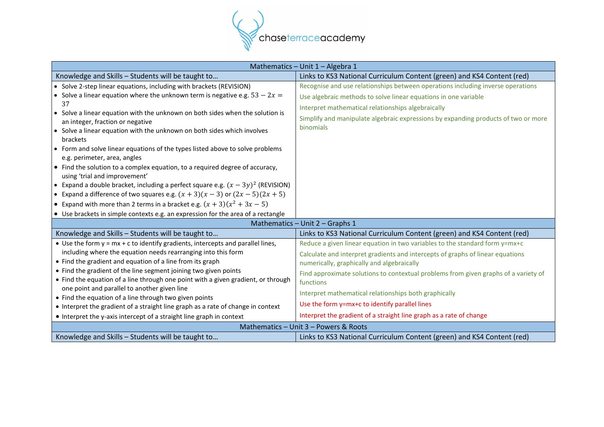

| Mathematics - Unit 1 - Algebra 1                                                                                                                                                                                                                                                                                                                                                                                                                                                                                                                                                                                                                                                                                                                                                         |                                                                                                                                                                                                                                                                                                                                                                                                                                                                                                   |  |
|------------------------------------------------------------------------------------------------------------------------------------------------------------------------------------------------------------------------------------------------------------------------------------------------------------------------------------------------------------------------------------------------------------------------------------------------------------------------------------------------------------------------------------------------------------------------------------------------------------------------------------------------------------------------------------------------------------------------------------------------------------------------------------------|---------------------------------------------------------------------------------------------------------------------------------------------------------------------------------------------------------------------------------------------------------------------------------------------------------------------------------------------------------------------------------------------------------------------------------------------------------------------------------------------------|--|
| Knowledge and Skills - Students will be taught to                                                                                                                                                                                                                                                                                                                                                                                                                                                                                                                                                                                                                                                                                                                                        | Links to KS3 National Curriculum Content (green) and KS4 Content (red)                                                                                                                                                                                                                                                                                                                                                                                                                            |  |
| • Solve 2-step linear equations, including with brackets (REVISION)                                                                                                                                                                                                                                                                                                                                                                                                                                                                                                                                                                                                                                                                                                                      | Recognise and use relationships between operations including inverse operations                                                                                                                                                                                                                                                                                                                                                                                                                   |  |
| • Solve a linear equation where the unknown term is negative e.g. $53 - 2x =$<br>37<br>• Solve a linear equation with the unknown on both sides when the solution is<br>an integer, fraction or negative<br>• Solve a linear equation with the unknown on both sides which involves<br>brackets<br>• Form and solve linear equations of the types listed above to solve problems<br>e.g. perimeter, area, angles<br>• Find the solution to a complex equation, to a required degree of accuracy,<br>using 'trial and improvement'<br>• Expand a double bracket, including a perfect square e.g. $(x - 3y)^2$ (REVISION)<br>• Expand a difference of two squares e.g. $(x + 3)(x - 3)$ or $(2x - 5)(2x + 5)$<br>• Expand with more than 2 terms in a bracket e.g. $(x + 3)(x^2 + 3x - 5)$ | Use algebraic methods to solve linear equations in one variable<br>Interpret mathematical relationships algebraically<br>Simplify and manipulate algebraic expressions by expanding products of two or more<br>binomials                                                                                                                                                                                                                                                                          |  |
| • Use brackets in simple contexts e.g. an expression for the area of a rectangle                                                                                                                                                                                                                                                                                                                                                                                                                                                                                                                                                                                                                                                                                                         |                                                                                                                                                                                                                                                                                                                                                                                                                                                                                                   |  |
|                                                                                                                                                                                                                                                                                                                                                                                                                                                                                                                                                                                                                                                                                                                                                                                          | Mathematics - Unit 2 - Graphs 1                                                                                                                                                                                                                                                                                                                                                                                                                                                                   |  |
| Knowledge and Skills - Students will be taught to                                                                                                                                                                                                                                                                                                                                                                                                                                                                                                                                                                                                                                                                                                                                        | Links to KS3 National Curriculum Content (green) and KS4 Content (red)                                                                                                                                                                                                                                                                                                                                                                                                                            |  |
| • Use the form $y = mx + c$ to identify gradients, intercepts and parallel lines,<br>including where the equation needs rearranging into this form<br>• Find the gradient and equation of a line from its graph<br>• Find the gradient of the line segment joining two given points<br>• Find the equation of a line through one point with a given gradient, or through<br>one point and parallel to another given line<br>• Find the equation of a line through two given points<br>• Interpret the gradient of a straight line graph as a rate of change in context<br>• Interpret the y-axis intercept of a straight line graph in context                                                                                                                                           | Reduce a given linear equation in two variables to the standard form y=mx+c<br>Calculate and interpret gradients and intercepts of graphs of linear equations<br>numerically, graphically and algebraically<br>Find approximate solutions to contextual problems from given graphs of a variety of<br>functions<br>Interpret mathematical relationships both graphically<br>Use the form y=mx+c to identify parallel lines<br>Interpret the gradient of a straight line graph as a rate of change |  |
| Mathematics - Unit 3 - Powers & Roots                                                                                                                                                                                                                                                                                                                                                                                                                                                                                                                                                                                                                                                                                                                                                    |                                                                                                                                                                                                                                                                                                                                                                                                                                                                                                   |  |
| Knowledge and Skills - Students will be taught to                                                                                                                                                                                                                                                                                                                                                                                                                                                                                                                                                                                                                                                                                                                                        | Links to KS3 National Curriculum Content (green) and KS4 Content (red)                                                                                                                                                                                                                                                                                                                                                                                                                            |  |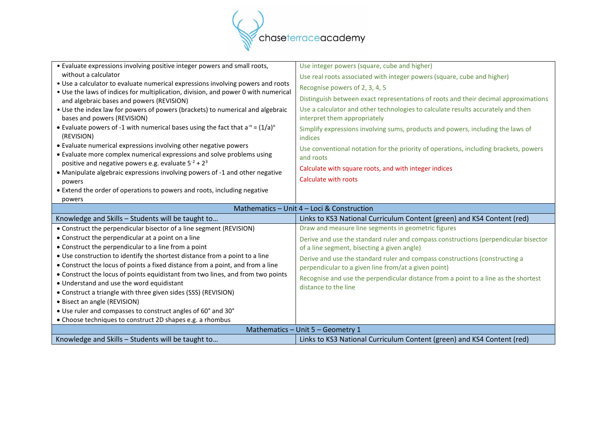

| • Evaluate expressions involving positive integer powers and small roots,                                     | Use integer powers (square, cube and higher)                                                                     |
|---------------------------------------------------------------------------------------------------------------|------------------------------------------------------------------------------------------------------------------|
| without a calculator                                                                                          | Use real roots associated with integer powers (square, cube and higher)                                          |
| • Use a calculator to evaluate numerical expressions involving powers and roots                               | Recognise powers of 2, 3, 4, 5                                                                                   |
| . Use the laws of indices for multiplication, division, and power 0 with numerical                            | Distinguish between exact representations of roots and their decimal approximations                              |
| and algebraic bases and powers (REVISION)                                                                     |                                                                                                                  |
| • Use the index law for powers of powers (brackets) to numerical and algebraic<br>bases and powers (REVISION) | Use a calculator and other technologies to calculate results accurately and then<br>interpret them appropriately |
| • Evaluate powers of -1 with numerical bases using the fact that $a^{-n} = (1/a)^n$                           | Simplify expressions involving sums, products and powers, including the laws of                                  |
| (REVISION)                                                                                                    | indices                                                                                                          |
| • Evaluate numerical expressions involving other negative powers                                              | Use conventional notation for the priority of operations, including brackets, powers                             |
| • Evaluate more complex numerical expressions and solve problems using                                        | and roots                                                                                                        |
| positive and negative powers e.g. evaluate $5^{-2}$ + $2^{3}$                                                 | Calculate with square roots, and with integer indices                                                            |
| • Manipulate algebraic expressions involving powers of -1 and other negative                                  |                                                                                                                  |
| powers                                                                                                        | Calculate with roots                                                                                             |
| • Extend the order of operations to powers and roots, including negative                                      |                                                                                                                  |
| powers                                                                                                        |                                                                                                                  |
|                                                                                                               |                                                                                                                  |
|                                                                                                               | Mathematics - Unit 4 - Loci & Construction                                                                       |
| Knowledge and Skills - Students will be taught to                                                             | Links to KS3 National Curriculum Content (green) and KS4 Content (red)                                           |
| • Construct the perpendicular bisector of a line segment (REVISION)                                           | Draw and measure line segments in geometric figures                                                              |
| • Construct the perpendicular at a point on a line                                                            | Derive and use the standard ruler and compass constructions (perpendicular bisector                              |
| • Construct the perpendicular to a line from a point                                                          | of a line segment, bisecting a given angle)                                                                      |
| • Use construction to identify the shortest distance from a point to a line                                   | Derive and use the standard ruler and compass constructions (constructing a                                      |
| • Construct the locus of points a fixed distance from a point, and from a line                                | perpendicular to a given line from/at a given point)                                                             |
| • Construct the locus of points equidistant from two lines, and from two points                               |                                                                                                                  |
| • Understand and use the word equidistant                                                                     | Recognise and use the perpendicular distance from a point to a line as the shortest<br>distance to the line      |
| • Construct a triangle with three given sides (SSS) (REVISION)                                                |                                                                                                                  |
| • Bisect an angle (REVISION)                                                                                  |                                                                                                                  |
| • Use ruler and compasses to construct angles of 60° and 30°                                                  |                                                                                                                  |
| • Choose techniques to construct 2D shapes e.g. a rhombus                                                     |                                                                                                                  |
|                                                                                                               | Mathematics - Unit 5 - Geometry 1<br>Links to KS3 National Curriculum Content (green) and KS4 Content (red)      |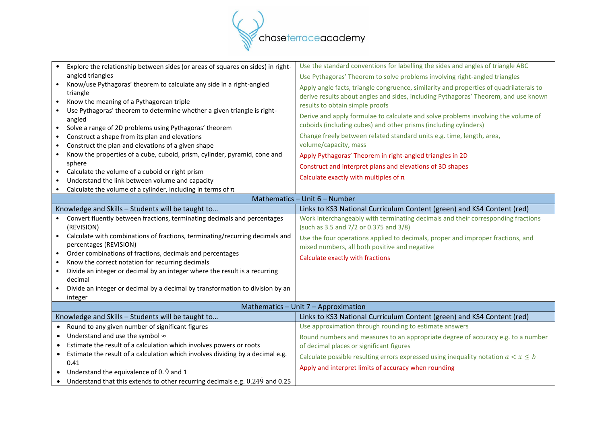

|                                      | Explore the relationship between sides (or areas of squares on sides) in right-                                    | Use the standard conventions for labelling the sides and angles of triangle ABC        |
|--------------------------------------|--------------------------------------------------------------------------------------------------------------------|----------------------------------------------------------------------------------------|
|                                      | angled triangles                                                                                                   | Use Pythagoras' Theorem to solve problems involving right-angled triangles             |
|                                      | Know/use Pythagoras' theorem to calculate any side in a right-angled                                               | Apply angle facts, triangle congruence, similarity and properties of quadrilaterals to |
|                                      | triangle                                                                                                           | derive results about angles and sides, including Pythagoras' Theorem, and use known    |
| $\bullet$                            | Know the meaning of a Pythagorean triple                                                                           | results to obtain simple proofs                                                        |
|                                      | Use Pythagoras' theorem to determine whether a given triangle is right-                                            | Derive and apply formulae to calculate and solve problems involving the volume of      |
|                                      | angled                                                                                                             | cuboids (including cubes) and other prisms (including cylinders)                       |
| $\bullet$                            | Solve a range of 2D problems using Pythagoras' theorem                                                             |                                                                                        |
| $\bullet$                            | Construct a shape from its plan and elevations                                                                     | Change freely between related standard units e.g. time, length, area,                  |
| $\bullet$                            | Construct the plan and elevations of a given shape                                                                 | volume/capacity, mass                                                                  |
| $\bullet$                            | Know the properties of a cube, cuboid, prism, cylinder, pyramid, cone and                                          | Apply Pythagoras' Theorem in right-angled triangles in 2D                              |
|                                      | sphere                                                                                                             | Construct and interpret plans and elevations of 3D shapes                              |
| $\bullet$                            | Calculate the volume of a cuboid or right prism                                                                    | Calculate exactly with multiples of $\pi$                                              |
| $\bullet$                            | Understand the link between volume and capacity<br>Calculate the volume of a cylinder, including in terms of $\pi$ |                                                                                        |
|                                      |                                                                                                                    | Mathematics - Unit 6 - Number                                                          |
|                                      |                                                                                                                    |                                                                                        |
|                                      | Knowledge and Skills - Students will be taught to                                                                  | Links to KS3 National Curriculum Content (green) and KS4 Content (red)                 |
|                                      | Convert fluently between fractions, terminating decimals and percentages                                           | Work interchangeably with terminating decimals and their corresponding fractions       |
|                                      | (REVISION)                                                                                                         | (such as 3.5 and 7/2 or 0.375 and 3/8)                                                 |
|                                      | Calculate with combinations of fractions, terminating/recurring decimals and                                       | Use the four operations applied to decimals, proper and improper fractions, and        |
|                                      | percentages (REVISION)                                                                                             | mixed numbers, all both positive and negative                                          |
| $\bullet$                            | Order combinations of fractions, decimals and percentages                                                          | Calculate exactly with fractions                                                       |
| $\bullet$                            | Know the correct notation for recurring decimals                                                                   |                                                                                        |
| $\bullet$                            | Divide an integer or decimal by an integer where the result is a recurring<br>decimal                              |                                                                                        |
|                                      | Divide an integer or decimal by a decimal by transformation to division by an                                      |                                                                                        |
|                                      | integer                                                                                                            |                                                                                        |
|                                      |                                                                                                                    |                                                                                        |
| Mathematics - Unit 7 - Approximation |                                                                                                                    |                                                                                        |
|                                      | Knowledge and Skills - Students will be taught to                                                                  | Links to KS3 National Curriculum Content (green) and KS4 Content (red)                 |
|                                      | • Round to any given number of significant figures                                                                 | Use approximation through rounding to estimate answers                                 |
| $\bullet$                            | Understand and use the symbol $\approx$                                                                            | Round numbers and measures to an appropriate degree of accuracy e.g. to a number       |
| $\bullet$                            | Estimate the result of a calculation which involves powers or roots                                                | of decimal places or significant figures                                               |
| $\bullet$                            | Estimate the result of a calculation which involves dividing by a decimal e.g.                                     | Calculate possible resulting errors expressed using inequality notation $a < x \leq b$ |
|                                      | 0.41                                                                                                               | Apply and interpret limits of accuracy when rounding                                   |
|                                      | • Understand the equivalence of $0.\dot{9}$ and 1                                                                  |                                                                                        |
|                                      | • Understand that this extends to other recurring decimals e.g. $0.249$ and $0.25$                                 |                                                                                        |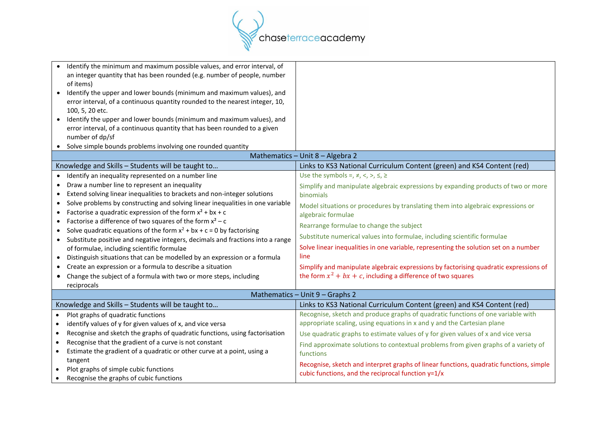

|                                 | Identify the minimum and maximum possible values, and error interval, of                                                                                  |                                                                                         |
|---------------------------------|-----------------------------------------------------------------------------------------------------------------------------------------------------------|-----------------------------------------------------------------------------------------|
|                                 | an integer quantity that has been rounded (e.g. number of people, number<br>of items)                                                                     |                                                                                         |
|                                 | Identify the upper and lower bounds (minimum and maximum values), and                                                                                     |                                                                                         |
|                                 | error interval, of a continuous quantity rounded to the nearest integer, 10,                                                                              |                                                                                         |
|                                 | 100, 5, 20 etc.                                                                                                                                           |                                                                                         |
|                                 | Identify the upper and lower bounds (minimum and maximum values), and                                                                                     |                                                                                         |
|                                 | error interval, of a continuous quantity that has been rounded to a given                                                                                 |                                                                                         |
| ٠                               | number of dp/sf<br>Solve simple bounds problems involving one rounded quantity                                                                            |                                                                                         |
|                                 |                                                                                                                                                           | Mathematics - Unit 8 - Algebra 2                                                        |
|                                 |                                                                                                                                                           | Links to KS3 National Curriculum Content (green) and KS4 Content (red)                  |
|                                 | Knowledge and Skills - Students will be taught to                                                                                                         |                                                                                         |
|                                 | Identify an inequality represented on a number line                                                                                                       | Use the symbols =, $\neq$ , <, >, $\leq$ , $\geq$                                       |
|                                 | Draw a number line to represent an inequality                                                                                                             | Simplify and manipulate algebraic expressions by expanding products of two or more      |
|                                 | Extend solving linear inequalities to brackets and non-integer solutions                                                                                  | binomials                                                                               |
|                                 | Solve problems by constructing and solving linear inequalities in one variable                                                                            | Model situations or procedures by translating them into algebraic expressions or        |
| $\bullet$                       | Factorise a quadratic expression of the form $x^2 + bx + c$                                                                                               | algebraic formulae                                                                      |
|                                 | Factorise a difference of two squares of the form $x^2 - c$                                                                                               | Rearrange formulae to change the subject                                                |
| $\bullet$<br>$\bullet$          | Solve quadratic equations of the form $x^2 + bx + c = 0$ by factorising<br>Substitute positive and negative integers, decimals and fractions into a range | Substitute numerical values into formulae, including scientific formulae                |
|                                 | of formulae, including scientific formulae                                                                                                                | Solve linear inequalities in one variable, representing the solution set on a number    |
|                                 | Distinguish situations that can be modelled by an expression or a formula                                                                                 | line                                                                                    |
|                                 | Create an expression or a formula to describe a situation                                                                                                 | Simplify and manipulate algebraic expressions by factorising quadratic expressions of   |
|                                 | Change the subject of a formula with two or more steps, including                                                                                         | the form $x^2 + bx + c$ , including a difference of two squares                         |
|                                 | reciprocals                                                                                                                                               |                                                                                         |
| Mathematics - Unit 9 - Graphs 2 |                                                                                                                                                           |                                                                                         |
|                                 | Knowledge and Skills - Students will be taught to                                                                                                         | Links to KS3 National Curriculum Content (green) and KS4 Content (red)                  |
| $\bullet$                       | Plot graphs of quadratic functions                                                                                                                        | Recognise, sketch and produce graphs of quadratic functions of one variable with        |
| $\bullet$                       | identify values of y for given values of x, and vice versa                                                                                                | appropriate scaling, using equations in x and y and the Cartesian plane                 |
| $\bullet$                       | Recognise and sketch the graphs of quadratic functions, using factorisation                                                                               | Use quadratic graphs to estimate values of y for given values of x and vice versa       |
| $\bullet$                       | Recognise that the gradient of a curve is not constant                                                                                                    | Find approximate solutions to contextual problems from given graphs of a variety of     |
| $\bullet$                       | Estimate the gradient of a quadratic or other curve at a point, using a                                                                                   | functions                                                                               |
|                                 | tangent                                                                                                                                                   | Recognise, sketch and interpret graphs of linear functions, quadratic functions, simple |
|                                 | Plot graphs of simple cubic functions                                                                                                                     | cubic functions, and the reciprocal function $y=1/x$                                    |
| $\bullet$                       | Recognise the graphs of cubic functions                                                                                                                   |                                                                                         |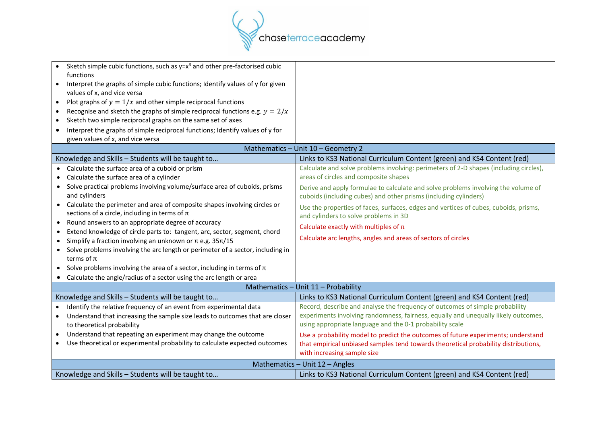

| Sketch simple cubic functions, such as $y=x^3$ and other pre-factorised cubic<br>functions<br>Interpret the graphs of simple cubic functions; Identify values of y for given |                                                                                                                                                       |  |
|------------------------------------------------------------------------------------------------------------------------------------------------------------------------------|-------------------------------------------------------------------------------------------------------------------------------------------------------|--|
| values of x, and vice versa                                                                                                                                                  |                                                                                                                                                       |  |
| Plot graphs of $y = 1/x$ and other simple reciprocal functions<br>$\bullet$                                                                                                  |                                                                                                                                                       |  |
| Recognise and sketch the graphs of simple reciprocal functions e.g. $y = 2/x$<br>$\bullet$                                                                                   |                                                                                                                                                       |  |
| Sketch two simple reciprocal graphs on the same set of axes<br>$\bullet$                                                                                                     |                                                                                                                                                       |  |
| Interpret the graphs of simple reciprocal functions; Identify values of y for<br>$\bullet$                                                                                   |                                                                                                                                                       |  |
| given values of x, and vice versa                                                                                                                                            |                                                                                                                                                       |  |
|                                                                                                                                                                              | Mathematics - Unit 10 - Geometry 2                                                                                                                    |  |
| Knowledge and Skills - Students will be taught to                                                                                                                            | Links to KS3 National Curriculum Content (green) and KS4 Content (red)                                                                                |  |
| Calculate the surface area of a cuboid or prism<br>$\bullet$                                                                                                                 | Calculate and solve problems involving: perimeters of 2-D shapes (including circles),                                                                 |  |
| Calculate the surface area of a cylinder<br>$\bullet$                                                                                                                        | areas of circles and composite shapes                                                                                                                 |  |
| Solve practical problems involving volume/surface area of cuboids, prisms<br>$\bullet$<br>and cylinders                                                                      | Derive and apply formulae to calculate and solve problems involving the volume of<br>cuboids (including cubes) and other prisms (including cylinders) |  |
| Calculate the perimeter and area of composite shapes involving circles or<br>$\bullet$<br>sections of a circle, including in terms of $\pi$                                  | Use the properties of faces, surfaces, edges and vertices of cubes, cuboids, prisms,<br>and cylinders to solve problems in 3D                         |  |
| Round answers to an appropriate degree of accuracy<br>$\bullet$                                                                                                              | Calculate exactly with multiples of $\pi$                                                                                                             |  |
| Extend knowledge of circle parts to: tangent, arc, sector, segment, chord<br>٠                                                                                               |                                                                                                                                                       |  |
| Simplify a fraction involving an unknown or $\pi$ e.g. 35 $\pi$ /15<br>٠                                                                                                     | Calculate arc lengths, angles and areas of sectors of circles                                                                                         |  |
| Solve problems involving the arc length or perimeter of a sector, including in<br>$\bullet$<br>terms of $\pi$                                                                |                                                                                                                                                       |  |
| Solve problems involving the area of a sector, including in terms of $\pi$<br>٠                                                                                              |                                                                                                                                                       |  |
| Calculate the angle/radius of a sector using the arc length or area<br>$\bullet$                                                                                             |                                                                                                                                                       |  |
|                                                                                                                                                                              | Mathematics - Unit 11 - Probability                                                                                                                   |  |
| Knowledge and Skills - Students will be taught to                                                                                                                            | Links to KS3 National Curriculum Content (green) and KS4 Content (red)                                                                                |  |
| Identify the relative frequency of an event from experimental data                                                                                                           | Record, describe and analyse the frequency of outcomes of simple probability                                                                          |  |
| Understand that increasing the sample size leads to outcomes that are closer                                                                                                 | experiments involving randomness, fairness, equally and unequally likely outcomes,                                                                    |  |
| to theoretical probability                                                                                                                                                   | using appropriate language and the 0-1 probability scale                                                                                              |  |
| Understand that repeating an experiment may change the outcome<br>$\bullet$                                                                                                  | Use a probability model to predict the outcomes of future experiments; understand                                                                     |  |
| Use theoretical or experimental probability to calculate expected outcomes<br>$\bullet$                                                                                      | that empirical unbiased samples tend towards theoretical probability distributions,                                                                   |  |
|                                                                                                                                                                              | with increasing sample size                                                                                                                           |  |
| Mathematics - Unit 12 - Angles                                                                                                                                               |                                                                                                                                                       |  |
| Knowledge and Skills - Students will be taught to                                                                                                                            | Links to KS3 National Curriculum Content (green) and KS4 Content (red)                                                                                |  |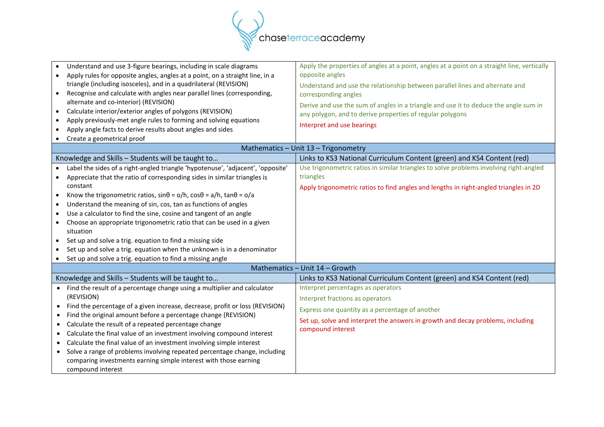

| Apply the properties of angles at a point, angles at a point on a straight line, vertically<br>opposite angles<br>Understand and use the relationship between parallel lines and alternate and<br>corresponding angles<br>Derive and use the sum of angles in a triangle and use it to deduce the angle sum in<br>any polygon, and to derive properties of regular polygons |
|-----------------------------------------------------------------------------------------------------------------------------------------------------------------------------------------------------------------------------------------------------------------------------------------------------------------------------------------------------------------------------|
| Interpret and use bearings                                                                                                                                                                                                                                                                                                                                                  |
| Mathematics - Unit 13 - Trigonometry                                                                                                                                                                                                                                                                                                                                        |
| Links to KS3 National Curriculum Content (green) and KS4 Content (red)                                                                                                                                                                                                                                                                                                      |
| Use trigonometric ratios in similar triangles to solve problems involving right-angled<br>triangles                                                                                                                                                                                                                                                                         |
| Apply trigonometric ratios to find angles and lengths in right-angled triangles in 2D                                                                                                                                                                                                                                                                                       |
|                                                                                                                                                                                                                                                                                                                                                                             |
| Mathematics - Unit 14 - Growth                                                                                                                                                                                                                                                                                                                                              |
| Links to KS3 National Curriculum Content (green) and KS4 Content (red)                                                                                                                                                                                                                                                                                                      |
| Interpret percentages as operators<br>Interpret fractions as operators<br>Express one quantity as a percentage of another<br>Set up, solve and interpret the answers in growth and decay problems, including<br>compound interest                                                                                                                                           |
|                                                                                                                                                                                                                                                                                                                                                                             |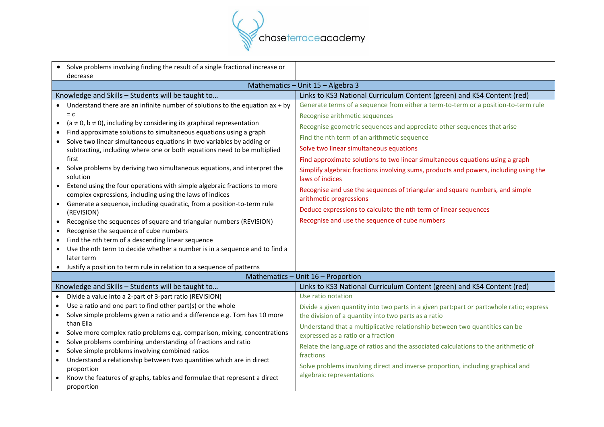

| • Solve problems involving finding the result of a single fractional increase or<br>decrease                                                                                                                                                                                                                                                                                                                                                                                                                                                                                                                                                                                                                                                                                                                                                                                                                                                                                                                                                    |                                                                                                                                                                                                                                                                                                                                                                                                                                                                                                                                                                                                                                                                                                                         |
|-------------------------------------------------------------------------------------------------------------------------------------------------------------------------------------------------------------------------------------------------------------------------------------------------------------------------------------------------------------------------------------------------------------------------------------------------------------------------------------------------------------------------------------------------------------------------------------------------------------------------------------------------------------------------------------------------------------------------------------------------------------------------------------------------------------------------------------------------------------------------------------------------------------------------------------------------------------------------------------------------------------------------------------------------|-------------------------------------------------------------------------------------------------------------------------------------------------------------------------------------------------------------------------------------------------------------------------------------------------------------------------------------------------------------------------------------------------------------------------------------------------------------------------------------------------------------------------------------------------------------------------------------------------------------------------------------------------------------------------------------------------------------------------|
|                                                                                                                                                                                                                                                                                                                                                                                                                                                                                                                                                                                                                                                                                                                                                                                                                                                                                                                                                                                                                                                 | Mathematics - Unit 15 - Algebra 3                                                                                                                                                                                                                                                                                                                                                                                                                                                                                                                                                                                                                                                                                       |
| Knowledge and Skills - Students will be taught to                                                                                                                                                                                                                                                                                                                                                                                                                                                                                                                                                                                                                                                                                                                                                                                                                                                                                                                                                                                               | Links to KS3 National Curriculum Content (green) and KS4 Content (red)                                                                                                                                                                                                                                                                                                                                                                                                                                                                                                                                                                                                                                                  |
| Understand there are an infinite number of solutions to the equation $ax + by$<br>$= c$<br>$(a \neq 0, b \neq 0)$ , including by considering its graphical representation<br>$\bullet$<br>Find approximate solutions to simultaneous equations using a graph<br>Solve two linear simultaneous equations in two variables by adding or<br>subtracting, including where one or both equations need to be multiplied<br>first<br>Solve problems by deriving two simultaneous equations, and interpret the<br>solution<br>Extend using the four operations with simple algebraic fractions to more<br>complex expressions, including using the laws of indices<br>• Generate a sequence, including quadratic, from a position-to-term rule<br>(REVISION)<br>Recognise the sequences of square and triangular numbers (REVISION)<br>$\bullet$<br>Recognise the sequence of cube numbers<br>$\bullet$<br>Find the nth term of a descending linear sequence<br>$\bullet$<br>Use the nth term to decide whether a number is in a sequence and to find a | Generate terms of a sequence from either a term-to-term or a position-to-term rule<br>Recognise arithmetic sequences<br>Recognise geometric sequences and appreciate other sequences that arise<br>Find the nth term of an arithmetic sequence<br>Solve two linear simultaneous equations<br>Find approximate solutions to two linear simultaneous equations using a graph<br>Simplify algebraic fractions involving sums, products and powers, including using the<br>laws of indices<br>Recognise and use the sequences of triangular and square numbers, and simple<br>arithmetic progressions<br>Deduce expressions to calculate the nth term of linear sequences<br>Recognise and use the sequence of cube numbers |
| later term<br>Justify a position to term rule in relation to a sequence of patterns                                                                                                                                                                                                                                                                                                                                                                                                                                                                                                                                                                                                                                                                                                                                                                                                                                                                                                                                                             |                                                                                                                                                                                                                                                                                                                                                                                                                                                                                                                                                                                                                                                                                                                         |
|                                                                                                                                                                                                                                                                                                                                                                                                                                                                                                                                                                                                                                                                                                                                                                                                                                                                                                                                                                                                                                                 | Mathematics - Unit 16 - Proportion                                                                                                                                                                                                                                                                                                                                                                                                                                                                                                                                                                                                                                                                                      |
| Knowledge and Skills - Students will be taught to                                                                                                                                                                                                                                                                                                                                                                                                                                                                                                                                                                                                                                                                                                                                                                                                                                                                                                                                                                                               | Links to KS3 National Curriculum Content (green) and KS4 Content (red)                                                                                                                                                                                                                                                                                                                                                                                                                                                                                                                                                                                                                                                  |
| Divide a value into a 2-part of 3-part ratio (REVISION)<br>$\bullet$<br>Use a ratio and one part to find other part(s) or the whole<br>$\bullet$<br>Solve simple problems given a ratio and a difference e.g. Tom has 10 more<br>$\bullet$<br>than Ella<br>Solve more complex ratio problems e.g. comparison, mixing, concentrations<br>$\bullet$<br>Solve problems combining understanding of fractions and ratio<br>$\bullet$<br>Solve simple problems involving combined ratios<br>$\bullet$<br>Understand a relationship between two quantities which are in direct<br>$\bullet$<br>proportion<br>Know the features of graphs, tables and formulae that represent a direct<br>proportion                                                                                                                                                                                                                                                                                                                                                    | Use ratio notation<br>Divide a given quantity into two parts in a given part:part or part:whole ratio; express<br>the division of a quantity into two parts as a ratio<br>Understand that a multiplicative relationship between two quantities can be<br>expressed as a ratio or a fraction<br>Relate the language of ratios and the associated calculations to the arithmetic of<br>fractions<br>Solve problems involving direct and inverse proportion, including graphical and<br>algebraic representations                                                                                                                                                                                                          |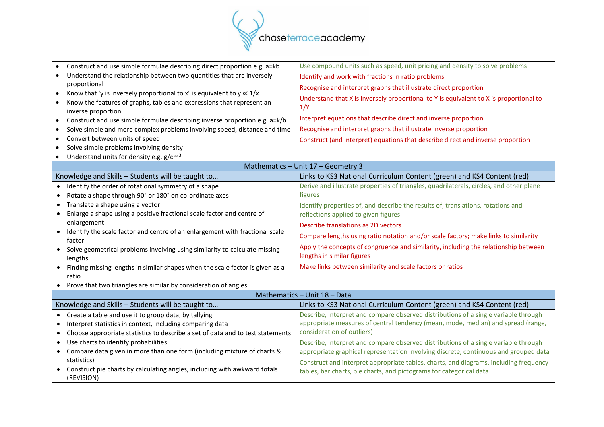

|                              | Construct and use simple formulae describing direct proportion e.g. a=kb                                                                                                     | Use compound units such as speed, unit pricing and density to solve problems                                      |
|------------------------------|------------------------------------------------------------------------------------------------------------------------------------------------------------------------------|-------------------------------------------------------------------------------------------------------------------|
| $\bullet$                    | Understand the relationship between two quantities that are inversely                                                                                                        | Identify and work with fractions in ratio problems                                                                |
|                              | proportional                                                                                                                                                                 | Recognise and interpret graphs that illustrate direct proportion                                                  |
| $\bullet$<br>$\bullet$       | Know that 'y is inversely proportional to x' is equivalent to $y \propto 1/x$<br>Know the features of graphs, tables and expressions that represent an<br>inverse proportion | Understand that X is inversely proportional to Y is equivalent to X is proportional to<br>1/Y                     |
| $\bullet$                    | Construct and use simple formulae describing inverse proportion e.g. a=k/b                                                                                                   | Interpret equations that describe direct and inverse proportion                                                   |
| $\bullet$                    | Solve simple and more complex problems involving speed, distance and time                                                                                                    | Recognise and interpret graphs that illustrate inverse proportion                                                 |
| $\bullet$                    | Convert between units of speed                                                                                                                                               | Construct (and interpret) equations that describe direct and inverse proportion                                   |
|                              | Solve simple problems involving density                                                                                                                                      |                                                                                                                   |
| $\bullet$                    | Understand units for density e.g. g/cm <sup>3</sup>                                                                                                                          |                                                                                                                   |
|                              |                                                                                                                                                                              | Mathematics - Unit 17 - Geometry 3                                                                                |
|                              | Knowledge and Skills - Students will be taught to                                                                                                                            | Links to KS3 National Curriculum Content (green) and KS4 Content (red)                                            |
| $\bullet$                    | Identify the order of rotational symmetry of a shape                                                                                                                         | Derive and illustrate properties of triangles, quadrilaterals, circles, and other plane                           |
|                              | Rotate a shape through 90° or 180° on co-ordinate axes                                                                                                                       | figures                                                                                                           |
|                              | Translate a shape using a vector                                                                                                                                             | Identify properties of, and describe the results of, translations, rotations and                                  |
| $\bullet$                    | Enlarge a shape using a positive fractional scale factor and centre of                                                                                                       | reflections applied to given figures                                                                              |
|                              | enlargement                                                                                                                                                                  | Describe translations as 2D vectors                                                                               |
| $\bullet$                    | Identify the scale factor and centre of an enlargement with fractional scale<br>factor                                                                                       | Compare lengths using ratio notation and/or scale factors; make links to similarity                               |
|                              | • Solve geometrical problems involving using similarity to calculate missing<br>lengths                                                                                      | Apply the concepts of congruence and similarity, including the relationship between<br>lengths in similar figures |
|                              | Finding missing lengths in similar shapes when the scale factor is given as a                                                                                                | Make links between similarity and scale factors or ratios                                                         |
|                              | ratio                                                                                                                                                                        |                                                                                                                   |
| ٠                            | Prove that two triangles are similar by consideration of angles                                                                                                              |                                                                                                                   |
| Mathematics - Unit 18 - Data |                                                                                                                                                                              |                                                                                                                   |
|                              | Knowledge and Skills - Students will be taught to                                                                                                                            | Links to KS3 National Curriculum Content (green) and KS4 Content (red)                                            |
|                              | • Create a table and use it to group data, by tallying                                                                                                                       | Describe, interpret and compare observed distributions of a single variable through                               |
|                              | Interpret statistics in context, including comparing data                                                                                                                    | appropriate measures of central tendency (mean, mode, median) and spread (range,                                  |
| $\bullet$                    | Choose appropriate statistics to describe a set of data and to test statements                                                                                               | consideration of outliers)                                                                                        |
|                              | Use charts to identify probabilities                                                                                                                                         | Describe, interpret and compare observed distributions of a single variable through                               |
| $\bullet$                    | Compare data given in more than one form (including mixture of charts &                                                                                                      | appropriate graphical representation involving discrete, continuous and grouped data                              |
|                              | statistics)                                                                                                                                                                  | Construct and interpret appropriate tables, charts, and diagrams, including frequency                             |
|                              | • Construct pie charts by calculating angles, including with awkward totals<br>(REVISION)                                                                                    | tables, bar charts, pie charts, and pictograms for categorical data                                               |